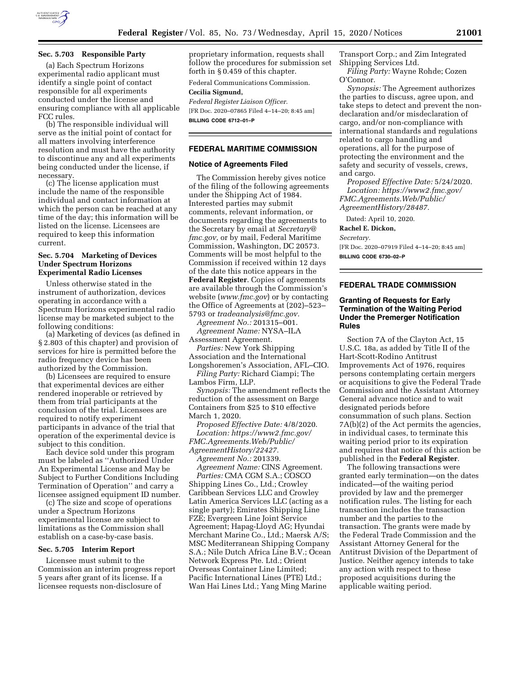

### **Sec. 5.703 Responsible Party**

(a) Each Spectrum Horizons experimental radio applicant must identify a single point of contact responsible for all experiments conducted under the license and ensuring compliance with all applicable FCC rules.

(b) The responsible individual will serve as the initial point of contact for all matters involving interference resolution and must have the authority to discontinue any and all experiments being conducted under the license, if necessary.

(c) The license application must include the name of the responsible individual and contact information at which the person can be reached at any time of the day; this information will be listed on the license. Licensees are required to keep this information current.

### **Sec. 5.704 Marketing of Devices Under Spectrum Horizons Experimental Radio Licenses**

Unless otherwise stated in the instrument of authorization, devices operating in accordance with a Spectrum Horizons experimental radio license may be marketed subject to the following conditions:

(a) Marketing of devices (as defined in § 2.803 of this chapter) and provision of services for hire is permitted before the radio frequency device has been authorized by the Commission.

(b) Licensees are required to ensure that experimental devices are either rendered inoperable or retrieved by them from trial participants at the conclusion of the trial. Licensees are required to notify experiment participants in advance of the trial that operation of the experimental device is subject to this condition.

Each device sold under this program must be labeled as ''Authorized Under An Experimental License and May be Subject to Further Conditions Including Termination of Operation'' and carry a licensee assigned equipment ID number.

(c) The size and scope of operations under a Spectrum Horizons experimental license are subject to limitations as the Commission shall establish on a case-by-case basis.

#### **Sec. 5.705 Interim Report**

Licensee must submit to the Commission an interim progress report 5 years after grant of its license. If a licensee requests non-disclosure of

proprietary information, requests shall follow the procedures for submission set forth in § 0.459 of this chapter.

Federal Communications Commission.

### **Cecilia Sigmund,**

*Federal Register Liaison Officer.*  [FR Doc. 2020–07865 Filed 4–14–20; 8:45 am] **BILLING CODE 6712–01–P** 

### **FEDERAL MARITIME COMMISSION**

#### **Notice of Agreements Filed**

The Commission hereby gives notice of the filing of the following agreements under the Shipping Act of 1984. Interested parties may submit comments, relevant information, or documents regarding the agreements to the Secretary by email at *[Secretary@](mailto:Secretary@fmc.gov) [fmc.gov,](mailto:Secretary@fmc.gov)* or by mail, Federal Maritime Commission, Washington, DC 20573. Comments will be most helpful to the Commission if received within 12 days of the date this notice appears in the **Federal Register**. Copies of agreements are available through the Commission's website (*[www.fmc.gov](http://www.fmc.gov)*) or by contacting the Office of Agreements at (202)–523– 5793 or *[tradeanalysis@fmc.gov.](mailto:tradeanalysis@fmc.gov)* 

*Agreement No.:* 201315–001.

*Agreement Name:* NYSA–ILA Assessment Agreement.

*Parties:* New York Shipping Association and the International Longshoremen's Association, AFL–CIO.

*Filing Party:* Richard Ciampi; The Lambos Firm, LLP.

*Synopsis:* The amendment reflects the reduction of the assessment on Barge Containers from \$25 to \$10 effective March 1, 2020.

*Proposed Effective Date:* 4/8/2020. *Location: [https://www2.fmc.gov/](https://www2.fmc.gov/FMC.Agreements.Web/Public/AgreementHistory/22427) [FMC.Agreements.Web/Public/](https://www2.fmc.gov/FMC.Agreements.Web/Public/AgreementHistory/22427) [AgreementHistory/22427.](https://www2.fmc.gov/FMC.Agreements.Web/Public/AgreementHistory/22427)* 

*Agreement No.:* 201339. *Agreement Name:* CINS Agreement. *Parties:* CMA CGM S.A.; COSCO Shipping Lines Co., Ltd.; Crowley Caribbean Services LLC and Crowley Latin America Services LLC (acting as a single party); Emirates Shipping Line FZE; Evergreen Line Joint Service Agreement; Hapag-Lloyd AG; Hyundai Merchant Marine Co., Ltd.; Maersk A/S; MSC Mediterranean Shipping Company S.A.; Nile Dutch Africa Line B.V.; Ocean Network Express Pte. Ltd.; Orient Overseas Container Line Limited; Pacific International Lines (PTE) Ltd.; Wan Hai Lines Ltd.; Yang Ming Marine

Transport Corp.; and Zim Integrated Shipping Services Ltd.

*Filing Party:* Wayne Rohde; Cozen O'Connor.

*Synopsis:* The Agreement authorizes the parties to discuss, agree upon, and take steps to detect and prevent the nondeclaration and/or misdeclaration of cargo, and/or non-compliance with international standards and regulations related to cargo handling and operations, all for the purpose of protecting the environment and the safety and security of vessels, crews, and cargo.

*Proposed Effective Date:* 5/24/2020. *Location: [https://www2.fmc.gov/](https://www2.fmc.gov/FMC.Agreements.Web/Public/AgreementHistory/28487) [FMC.Agreements.Web/Public/](https://www2.fmc.gov/FMC.Agreements.Web/Public/AgreementHistory/28487) [AgreementHistory/28487.](https://www2.fmc.gov/FMC.Agreements.Web/Public/AgreementHistory/28487)* 

Dated: April 10, 2020.

**Rachel E. Dickon,** 

*Secretary.* 

[FR Doc. 2020–07919 Filed 4–14–20; 8:45 am] **BILLING CODE 6730–02–P** 

### **FEDERAL TRADE COMMISSION**

### **Granting of Requests for Early Termination of the Waiting Period Under the Premerger Notification Rules**

Section 7A of the Clayton Act, 15 U.S.C. 18a, as added by Title II of the Hart-Scott-Rodino Antitrust Improvements Act of 1976, requires persons contemplating certain mergers or acquisitions to give the Federal Trade Commission and the Assistant Attorney General advance notice and to wait designated periods before consummation of such plans. Section 7A(b)(2) of the Act permits the agencies, in individual cases, to terminate this waiting period prior to its expiration and requires that notice of this action be published in the **Federal Register**.

The following transactions were granted early termination—on the dates indicated—of the waiting period provided by law and the premerger notification rules. The listing for each transaction includes the transaction number and the parties to the transaction. The grants were made by the Federal Trade Commission and the Assistant Attorney General for the Antitrust Division of the Department of Justice. Neither agency intends to take any action with respect to these proposed acquisitions during the applicable waiting period.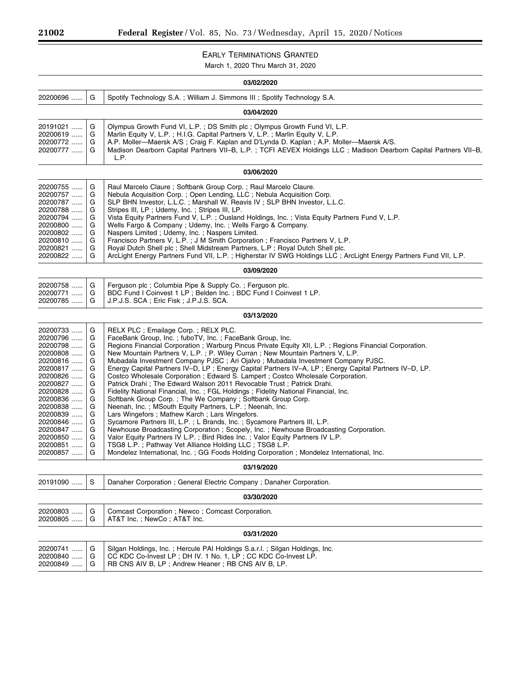$\equiv$ 

۰

# EARLY TERMINATIONS GRANTED

March 1, 2020 Thru March 31, 2020

| 03/02/2020                                                                                                                                                                                               |                                                                                   |                                                                                                                                                                                                                                                                                                                                                                                                                                                                                                                                                                                                                                                                                                                                                                                                                                                                                                                                                                                                                                                                                                                                                                                                                                                                                                                                 |
|----------------------------------------------------------------------------------------------------------------------------------------------------------------------------------------------------------|-----------------------------------------------------------------------------------|---------------------------------------------------------------------------------------------------------------------------------------------------------------------------------------------------------------------------------------------------------------------------------------------------------------------------------------------------------------------------------------------------------------------------------------------------------------------------------------------------------------------------------------------------------------------------------------------------------------------------------------------------------------------------------------------------------------------------------------------------------------------------------------------------------------------------------------------------------------------------------------------------------------------------------------------------------------------------------------------------------------------------------------------------------------------------------------------------------------------------------------------------------------------------------------------------------------------------------------------------------------------------------------------------------------------------------|
| 20200696                                                                                                                                                                                                 | G                                                                                 | Spotify Technology S.A.; William J. Simmons III; Spotify Technology S.A.                                                                                                                                                                                                                                                                                                                                                                                                                                                                                                                                                                                                                                                                                                                                                                                                                                                                                                                                                                                                                                                                                                                                                                                                                                                        |
| 03/04/2020                                                                                                                                                                                               |                                                                                   |                                                                                                                                                                                                                                                                                                                                                                                                                                                                                                                                                                                                                                                                                                                                                                                                                                                                                                                                                                                                                                                                                                                                                                                                                                                                                                                                 |
| 20191021<br>20200619<br>20200772<br>20200777                                                                                                                                                             | G<br>G<br>G<br>G                                                                  | Olympus Growth Fund VI, L.P.; DS Smith plc; Olympus Growth Fund VI, L.P.<br>Marlin Equity V, L.P.; H.I.G. Capital Partners V, L.P.; Marlin Equity V, L.P.<br>A.P. Moller—Maersk A/S; Craig F. Kaplan and D'Lynda D. Kaplan; A.P. Moller—Maersk A/S.<br>Madison Dearborn Capital Partners VII-B, L.P.; TCFI AEVEX Holdings LLC; Madison Dearborn Capital Partners VII-B,<br>L.P.                                                                                                                                                                                                                                                                                                                                                                                                                                                                                                                                                                                                                                                                                                                                                                                                                                                                                                                                                 |
| 03/06/2020                                                                                                                                                                                               |                                                                                   |                                                                                                                                                                                                                                                                                                                                                                                                                                                                                                                                                                                                                                                                                                                                                                                                                                                                                                                                                                                                                                                                                                                                                                                                                                                                                                                                 |
| 20200755<br>20200757<br>20200787<br>20200788<br>20200794<br>20200800<br>20200802<br>20200810<br>20200821<br>20200822                                                                                     | G<br>G<br>G<br>G<br>G<br>G<br>G<br>G<br>G<br>G                                    | Raul Marcelo Claure; Softbank Group Corp.; Raul Marcelo Claure.<br>Nebula Acquisition Corp.; Open Lending, LLC; Nebula Acquisition Corp.<br>SLP BHN Investor, L.L.C.; Marshall W. Reavis IV; SLP BHN Investor, L.L.C.<br>Stripes III, LP; Udemy, Inc.; Stripes III, LP.<br>Vista Equity Partners Fund V, L.P.; Ousland Holdings, Inc.; Vista Equity Partners Fund V, L.P.<br>Wells Fargo & Company; Udemy, Inc.; Wells Fargo & Company.<br>Naspers Limited; Udemy, Inc.; Naspers Limited.<br>Francisco Partners V, L.P.; J M Smith Corporation; Francisco Partners V, L.P.<br>Royal Dutch Shell plc ; Shell Midstream Partners, L.P ; Royal Dutch Shell plc.<br>ArcLight Energy Partners Fund VII, L.P.; Higherstar IV SWG Holdings LLC; ArcLight Energy Partners Fund VII, L.P.                                                                                                                                                                                                                                                                                                                                                                                                                                                                                                                                                |
| 03/09/2020                                                                                                                                                                                               |                                                                                   |                                                                                                                                                                                                                                                                                                                                                                                                                                                                                                                                                                                                                                                                                                                                                                                                                                                                                                                                                                                                                                                                                                                                                                                                                                                                                                                                 |
| 20200758<br>20200771<br>20200785                                                                                                                                                                         | G<br>G<br>G                                                                       | Ferguson plc; Columbia Pipe & Supply Co.; Ferguson plc.<br>BDC Fund I Coinvest 1 LP; Belden Inc.; BDC Fund I Coinvest 1 LP.<br>J.P.J.S. SCA; Eric Fisk; J.P.J.S. SCA.                                                                                                                                                                                                                                                                                                                                                                                                                                                                                                                                                                                                                                                                                                                                                                                                                                                                                                                                                                                                                                                                                                                                                           |
| 03/13/2020                                                                                                                                                                                               |                                                                                   |                                                                                                                                                                                                                                                                                                                                                                                                                                                                                                                                                                                                                                                                                                                                                                                                                                                                                                                                                                                                                                                                                                                                                                                                                                                                                                                                 |
| 20200733<br>20200796<br>20200798<br>20200808<br>20200816<br>20200817<br>20200826<br>20200827<br>20200828<br>20200836<br>20200838<br>20200839<br>20200846<br>20200847<br>20200850<br>20200851<br>20200857 | G<br>G<br>G<br>G<br>G<br>G<br>G<br>G<br>G<br>G<br>G<br>G<br>G<br>G<br>G<br>G<br>G | RELX PLC ; Emailage Corp. ; RELX PLC.<br>FaceBank Group, Inc.; fuboTV, Inc.; FaceBank Group, Inc.<br>Regions Financial Corporation; Warburg Pincus Private Equity XII, L.P.; Regions Financial Corporation.<br>New Mountain Partners V, L.P.; P. Wiley Curran; New Mountain Partners V, L.P.<br>Mubadala Investment Company PJSC; Ari Ojalvo; Mubadala Investment Company PJSC.<br>Energy Capital Partners IV-D, LP; Energy Capital Partners IV-A, LP; Energy Capital Partners IV-D, LP.<br>Costco Wholesale Corporation; Edward S. Lampert; Costco Wholesale Corporation.<br>Patrick Drahi; The Edward Walson 2011 Revocable Trust; Patrick Drahi.<br>Fidelity National Financial, Inc.; FGL Holdings; Fidelity National Financial, Inc.<br>Softbank Group Corp.; The We Company; Softbank Group Corp.<br>Neenah, Inc.; MSouth Equity Partners, L.P.; Neenah, Inc.<br>Lars Wingefors; Mathew Karch; Lars Wingefors.<br>Sycamore Partners III, L.P.; L Brands, Inc.; Sycamore Partners III, L.P.<br>Newhouse Broadcasting Corporation; Scopely, Inc.; Newhouse Broadcasting Corporation.<br>Valor Equity Partners IV L.P.; Bird Rides Inc.; Valor Equity Partners IV L.P.<br>TSG8 L.P.; Pathway Vet Alliance Holding LLC; TSG8 L.P.<br>Mondelez International, Inc.; GG Foods Holding Corporation; Mondelez International, Inc. |
| 03/19/2020                                                                                                                                                                                               |                                                                                   |                                                                                                                                                                                                                                                                                                                                                                                                                                                                                                                                                                                                                                                                                                                                                                                                                                                                                                                                                                                                                                                                                                                                                                                                                                                                                                                                 |
| 20191090                                                                                                                                                                                                 | S                                                                                 | Danaher Corporation; General Electric Company; Danaher Corporation.                                                                                                                                                                                                                                                                                                                                                                                                                                                                                                                                                                                                                                                                                                                                                                                                                                                                                                                                                                                                                                                                                                                                                                                                                                                             |
| 03/30/2020                                                                                                                                                                                               |                                                                                   |                                                                                                                                                                                                                                                                                                                                                                                                                                                                                                                                                                                                                                                                                                                                                                                                                                                                                                                                                                                                                                                                                                                                                                                                                                                                                                                                 |
| 20200803<br>20200805                                                                                                                                                                                     | G<br>G                                                                            | Comcast Corporation ; Newco ; Comcast Corporation.<br>AT&T Inc. ; NewCo ; AT&T Inc.                                                                                                                                                                                                                                                                                                                                                                                                                                                                                                                                                                                                                                                                                                                                                                                                                                                                                                                                                                                                                                                                                                                                                                                                                                             |
| 03/31/2020                                                                                                                                                                                               |                                                                                   |                                                                                                                                                                                                                                                                                                                                                                                                                                                                                                                                                                                                                                                                                                                                                                                                                                                                                                                                                                                                                                                                                                                                                                                                                                                                                                                                 |
| 20200741<br>20200840<br>20200849                                                                                                                                                                         | G<br>G<br>G                                                                       | Silgan Holdings, Inc.; Hercule PAI Holdings S.a.r.l.; Silgan Holdings, Inc.<br>CC KDC Co-Invest LP; DH IV. 1 No. 1, LP; CC KDC Co-Invest LP.<br>RB CNS AIV B, LP; Andrew Heaner; RB CNS AIV B, LP.                                                                                                                                                                                                                                                                                                                                                                                                                                                                                                                                                                                                                                                                                                                                                                                                                                                                                                                                                                                                                                                                                                                              |